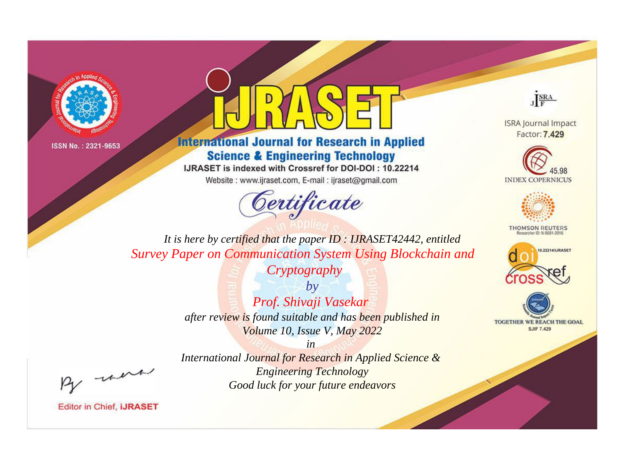



**International Journal for Research in Applied Science & Engineering Technology** 

IJRASET is indexed with Crossref for DOI-DOI: 10.22214

Website: www.ijraset.com, E-mail: ijraset@gmail.com



JERA

**ISRA Journal Impact** Factor: 7.429





**THOMSON REUTERS** 



TOGETHER WE REACH THE GOAL **SJIF 7.429** 

It is here by certified that the paper ID: IJRASET42442, entitled **Survey Paper on Communication System Using Blockchain and** 

Cryptography

 $by$ Prof. Shivaji Vasekar after review is found suitable and has been published in Volume 10, Issue V, May 2022

 $in$ 

International Journal for Research in Applied Science & **Engineering Technology** Good luck for your future endeavors

were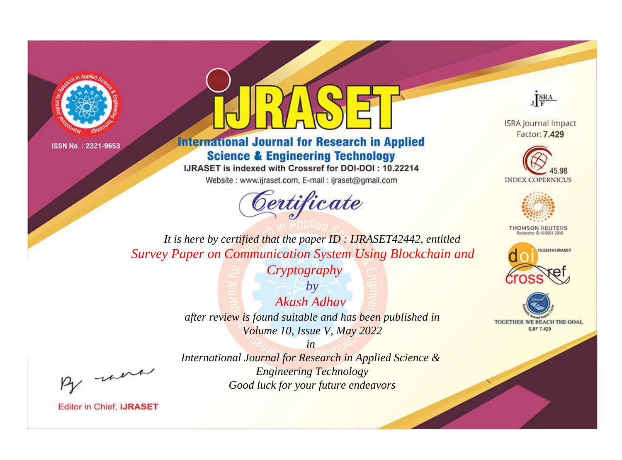



**International Journal for Research in Applied Science & Engineering Technology** 

IJRASET is indexed with Crossref for DOI-DOI: 10.22214

Website: www.ijraset.com, E-mail: ijraset@gmail.com



JERA

**ISRA Journal Impact** Factor: 7.429





**THOMSON REUTERS** 



TOGETHER WE REACH THE GOAL **SJIF 7.429** 

It is here by certified that the paper ID: IJRASET42442, entitled **Survey Paper on Communication System Using Blockchain and** 

Cryptography

 $b\nu$ Akash Adhay after review is found suitable and has been published in Volume 10, Issue V, May 2022

were

International Journal for Research in Applied Science & **Engineering Technology** Good luck for your future endeavors

 $in$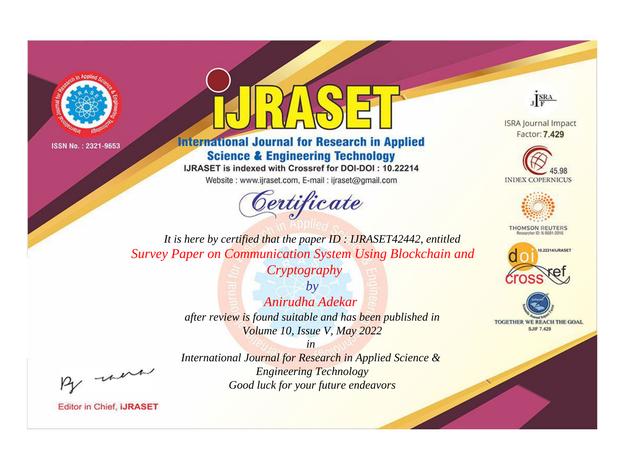



**International Journal for Research in Applied Science & Engineering Technology** 

IJRASET is indexed with Crossref for DOI-DOI: 10.22214

Website: www.ijraset.com, E-mail: ijraset@gmail.com



JERA

**ISRA Journal Impact** Factor: 7.429





**THOMSON REUTERS** 



TOGETHER WE REACH THE GOAL **SJIF 7.429** 

It is here by certified that the paper ID: IJRASET42442, entitled **Survey Paper on Communication System Using Blockchain and** 

Cryptography

 $by$ Anirudha Adekar after review is found suitable and has been published in Volume 10, Issue V, May 2022

were

International Journal for Research in Applied Science & **Engineering Technology** Good luck for your future endeavors

 $in$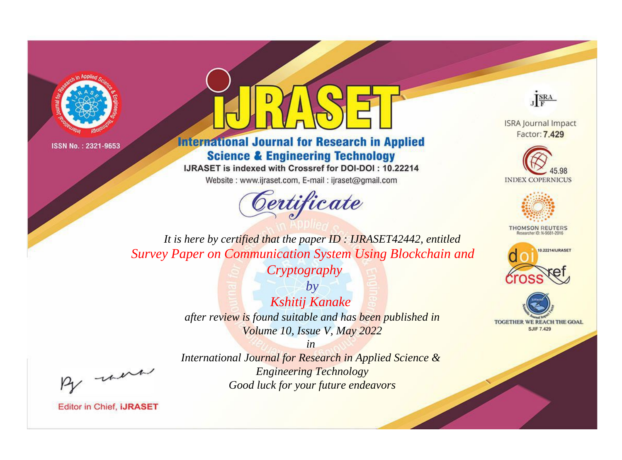



**International Journal for Research in Applied Science & Engineering Technology** 

IJRASET is indexed with Crossref for DOI-DOI: 10.22214

Website: www.ijraset.com, E-mail: ijraset@gmail.com



JERA

**ISRA Journal Impact** Factor: 7.429





**THOMSON REUTERS** 



TOGETHER WE REACH THE GOAL **SJIF 7.429** 

It is here by certified that the paper ID: IJRASET42442, entitled **Survey Paper on Communication System Using Blockchain and** 

Cryptography

 $by$ Kshitij Kanake after review is found suitable and has been published in Volume 10, Issue V, May 2022

were

International Journal for Research in Applied Science & **Engineering Technology** Good luck for your future endeavors

 $in$